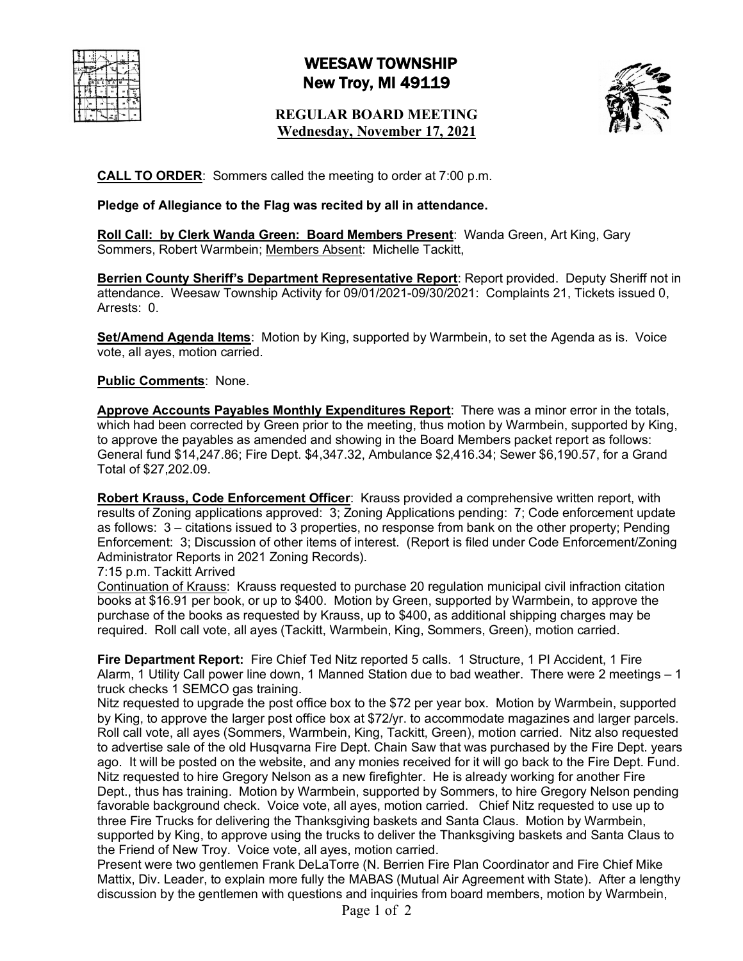# WEESAW TOWNSHIP New Troy, MI 49119

## **REGULAR BOARD MEETING Wednesday, November 17, 2021**



**CALL TO ORDER**: Sommers called the meeting to order at 7:00 p.m.

### **Pledge of Allegiance to the Flag was recited by all in attendance.**

**Roll Call: by Clerk Wanda Green: Board Members Present**: Wanda Green, Art King, Gary Sommers, Robert Warmbein; Members Absent: Michelle Tackitt,

**Berrien County Sheriff's Department Representative Report**: Report provided. Deputy Sheriff not in attendance. Weesaw Township Activity for 09/01/2021-09/30/2021: Complaints 21, Tickets issued 0, Arrests: 0.

**Set/Amend Agenda Items**: Motion by King, supported by Warmbein, to set the Agenda as is. Voice vote, all ayes, motion carried.

### **Public Comments**: None.

**Approve Accounts Payables Monthly Expenditures Report**: There was a minor error in the totals, which had been corrected by Green prior to the meeting, thus motion by Warmbein, supported by King, to approve the payables as amended and showing in the Board Members packet report as follows: General fund \$14,247.86; Fire Dept. \$4,347.32, Ambulance \$2,416.34; Sewer \$6,190.57, for a Grand Total of \$27,202.09.

**Robert Krauss, Code Enforcement Officer**: Krauss provided a comprehensive written report, with results of Zoning applications approved: 3; Zoning Applications pending: 7; Code enforcement update as follows: 3 – citations issued to 3 properties, no response from bank on the other property; Pending Enforcement: 3; Discussion of other items of interest. (Report is filed under Code Enforcement/Zoning Administrator Reports in 2021 Zoning Records).

7:15 p.m. Tackitt Arrived

Continuation of Krauss: Krauss requested to purchase 20 regulation municipal civil infraction citation books at \$16.91 per book, or up to \$400. Motion by Green, supported by Warmbein, to approve the purchase of the books as requested by Krauss, up to \$400, as additional shipping charges may be required. Roll call vote, all ayes (Tackitt, Warmbein, King, Sommers, Green), motion carried.

**Fire Department Report:** Fire Chief Ted Nitz reported 5 calls. 1 Structure, 1 PI Accident, 1 Fire Alarm, 1 Utility Call power line down, 1 Manned Station due to bad weather. There were 2 meetings – 1 truck checks 1 SEMCO gas training.

Nitz requested to upgrade the post office box to the \$72 per year box. Motion by Warmbein, supported by King, to approve the larger post office box at \$72/yr. to accommodate magazines and larger parcels. Roll call vote, all ayes (Sommers, Warmbein, King, Tackitt, Green), motion carried. Nitz also requested to advertise sale of the old Husqvarna Fire Dept. Chain Saw that was purchased by the Fire Dept. years ago. It will be posted on the website, and any monies received for it will go back to the Fire Dept. Fund. Nitz requested to hire Gregory Nelson as a new firefighter. He is already working for another Fire Dept., thus has training. Motion by Warmbein, supported by Sommers, to hire Gregory Nelson pending favorable background check. Voice vote, all ayes, motion carried. Chief Nitz requested to use up to three Fire Trucks for delivering the Thanksgiving baskets and Santa Claus. Motion by Warmbein, supported by King, to approve using the trucks to deliver the Thanksgiving baskets and Santa Claus to the Friend of New Troy. Voice vote, all ayes, motion carried.

Present were two gentlemen Frank DeLaTorre (N. Berrien Fire Plan Coordinator and Fire Chief Mike Mattix, Div. Leader, to explain more fully the MABAS (Mutual Air Agreement with State). After a lengthy discussion by the gentlemen with questions and inquiries from board members, motion by Warmbein,